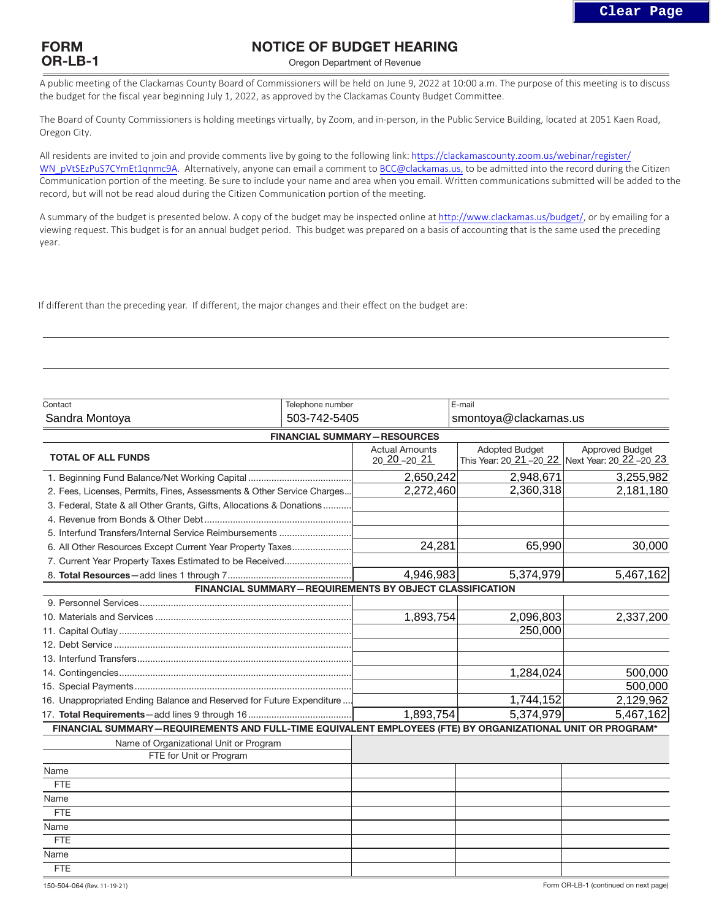

## NOTICE OF BUDGET HEARING

Oregon Department of Revenue

A public meeting of the Clackamas County Board of Commissioners will be held on June 9, 2022 at 10:00 a.m. The purpose of this meeting is to discuss the budget for the fiscal year beginning July 1, 2022, as approved by the Clackamas County Budget Committee.

The Board of County Commissioners is holding meetings virtually, by Zoom, and in-person, in the Public Service Building, located at 2051 Kaen Road, Oregon City.

All residents are invited to join and provide comments live by going to the following link: https://clackamascounty.zoom.us/webinar/register/ WN\_pVtSEzPuS7CYmEt1qnmc9A. Alternatively, anyone can email a comment to BCC@clackamas.us, to be admitted into the record during the Citizen Communication portion of the meeting. Be sure to include your name and area when you email. Written communications submitted will be added to the record, but will not be read aloud during the Citizen Communication portion of the meeting.

A summary of the budget is presented below. A copy of the budget may be inspected online at http://www.clackamas.us/budget/, or by emailing for a viewing request. This budget is for an annual budget period. This budget was prepared on a basis of accounting that is the same used the preceding year.

If different than the preceding year. If different, the major changes and their effect on the budget are:

| Contact                                                                                                    | Telephone number |                                                                | E-mail                |                                                                           |  |
|------------------------------------------------------------------------------------------------------------|------------------|----------------------------------------------------------------|-----------------------|---------------------------------------------------------------------------|--|
| Sandra Montoya                                                                                             | 503-742-5405     |                                                                | smontoya@clackamas.us |                                                                           |  |
|                                                                                                            |                  | <b>FINANCIAL SUMMARY-RESOURCES</b>                             |                       |                                                                           |  |
| <b>TOTAL OF ALL FUNDS</b>                                                                                  |                  | <b>Actual Amounts</b><br>$2020 - 2021$                         | <b>Adopted Budget</b> | <b>Approved Budget</b><br>This Year: 20 21 -20 22 Next Year: 20 22 -20 23 |  |
|                                                                                                            |                  | 2,650,242                                                      | 2,948,671             | 3,255,982                                                                 |  |
| 2. Fees, Licenses, Permits, Fines, Assessments & Other Service Charges                                     |                  | 2,272,460                                                      | 2,360,318             | 2,181,180                                                                 |  |
| 3. Federal, State & all Other Grants, Gifts, Allocations & Donations                                       |                  |                                                                |                       |                                                                           |  |
|                                                                                                            |                  |                                                                |                       |                                                                           |  |
| 5. Interfund Transfers/Internal Service Reimbursements                                                     |                  |                                                                |                       |                                                                           |  |
| 6. All Other Resources Except Current Year Property Taxes                                                  |                  | 24,281                                                         | 65,990                | 30,000                                                                    |  |
| 7. Current Year Property Taxes Estimated to be Received                                                    |                  |                                                                |                       |                                                                           |  |
|                                                                                                            |                  | 4,946,983                                                      | 5,374,979             | 5,467,162                                                                 |  |
|                                                                                                            |                  | <b>FINANCIAL SUMMARY-REQUIREMENTS BY OBJECT CLASSIFICATION</b> |                       |                                                                           |  |
|                                                                                                            |                  |                                                                |                       |                                                                           |  |
|                                                                                                            |                  | 1,893,754                                                      | 2,096,803             | 2,337,200                                                                 |  |
|                                                                                                            |                  |                                                                | 250,000               |                                                                           |  |
|                                                                                                            |                  |                                                                |                       |                                                                           |  |
|                                                                                                            |                  |                                                                |                       |                                                                           |  |
|                                                                                                            |                  |                                                                | 1,284,024             | 500,000                                                                   |  |
|                                                                                                            |                  |                                                                |                       | 500,000                                                                   |  |
| 16. Unappropriated Ending Balance and Reserved for Future Expenditure                                      |                  |                                                                | 1,744,152             | 2,129,962                                                                 |  |
|                                                                                                            |                  | 1,893,754                                                      | 5,374,979             | 5,467,162                                                                 |  |
| FINANCIAL SUMMARY-REQUIREMENTS AND FULL-TIME EQUIVALENT EMPLOYEES (FTE) BY ORGANIZATIONAL UNIT OR PROGRAM* |                  |                                                                |                       |                                                                           |  |
| Name of Organizational Unit or Program                                                                     |                  |                                                                |                       |                                                                           |  |
| FTE for Unit or Program                                                                                    |                  |                                                                |                       |                                                                           |  |
| Name                                                                                                       |                  |                                                                |                       |                                                                           |  |
| <b>FTE</b>                                                                                                 |                  |                                                                |                       |                                                                           |  |
| Name                                                                                                       |                  |                                                                |                       |                                                                           |  |
| <b>FTE</b>                                                                                                 |                  |                                                                |                       |                                                                           |  |
| Name                                                                                                       |                  |                                                                |                       |                                                                           |  |
| <b>FTE</b>                                                                                                 |                  |                                                                |                       |                                                                           |  |
| Name                                                                                                       |                  |                                                                |                       |                                                                           |  |
| <b>FTE</b>                                                                                                 |                  |                                                                |                       |                                                                           |  |